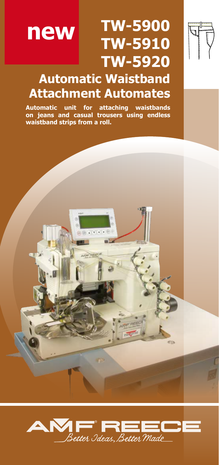# **new**

## **TW-5900 TW-5910 TW-5920**

### **Automatic Waistband Attachment Automates**

**Automatic unit for attaching waistbands on jeans and casual trousers using endless waistband strips from a roll.**